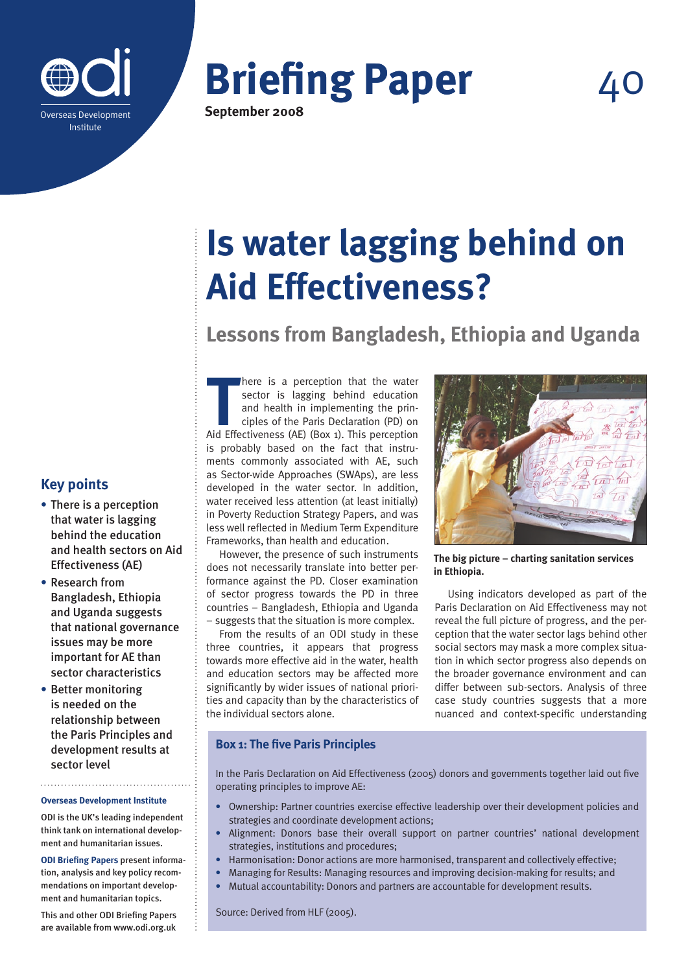

# **Briefing Paper**

**40** 

**September 2008**

## **Is water lagging behind on Aid Effectiveness?**

**Lessons from Bangladesh, Ethiopia and Uganda**

**There is a perception that the water**<br> **THERE SECTS (AE) SECTS (AE) (BOX 1). This perception**<br>
Aid Effectiveness (AE) (Box 1). This perception here is a perception that the water sector is lagging behind education and health in implementing the principles of the Paris Declaration (PD) on is probably based on the fact that instruments commonly associated with AE, such as Sector-wide Approaches (SWAps), are less developed in the water sector. In addition, water received less attention (at least initially) in Poverty Reduction Strategy Papers, and was less well reflected in Medium Term Expenditure Frameworks, than health and education.

However, the presence of such instruments does not necessarily translate into better performance against the PD. Closer examination of sector progress towards the PD in three countries – Bangladesh, Ethiopia and Uganda – suggests that the situation is more complex.

From the results of an ODI study in these three countries, it appears that progress towards more effective aid in the water, health and education sectors may be affected more significantly by wider issues of national priorities and capacity than by the characteristics of the individual sectors alone.



**The big picture – charting sanitation services in Ethiopia.**

Using indicators developed as part of the Paris Declaration on Aid Effectiveness may not reveal the full picture of progress, and the perception that the water sector lags behind other social sectors may mask a more complex situation in which sector progress also depends on the broader governance environment and can differ between sub-sectors. Analysis of three case study countries suggests that a more nuanced and context-specific understanding

#### **Box 1: The five Paris Principles**

In the Paris Declaration on Aid Effectiveness (2005) donors and governments together laid out five operating principles to improve AE:

- **•** Ownership: Partner countries exercise effective leadership over their development policies and strategies and coordinate development actions;
- **•** Alignment: Donors base their overall support on partner countries' national development strategies, institutions and procedures;
- **•** Harmonisation: Donor actions are more harmonised, transparent and collectively effective;
- **•** Managing for Results: Managing resources and improving decision-making for results; and
- **•** Mutual accountability: Donors and partners are accountable for development results.

Source: Derived from HLF (2005).

### **Key points**

- **•** There is a perception that water is lagging behind the education and health sectors on Aid Effectiveness (AE)
- **•** Research from Bangladesh, Ethiopia and Uganda suggests that national governance issues may be more important for AE than sector characteristics
- **•** Better monitoring is needed on the relationship between the Paris Principles and development results at sector level

**Overseas Development Institute**

ODI is the UK's leading independent think tank on international development and humanitarian issues.

**ODI Briefing Papers** present information, analysis and key policy recommendations on important development and humanitarian topics.

This and other ODI Briefing Papers are available from www.odi.org.uk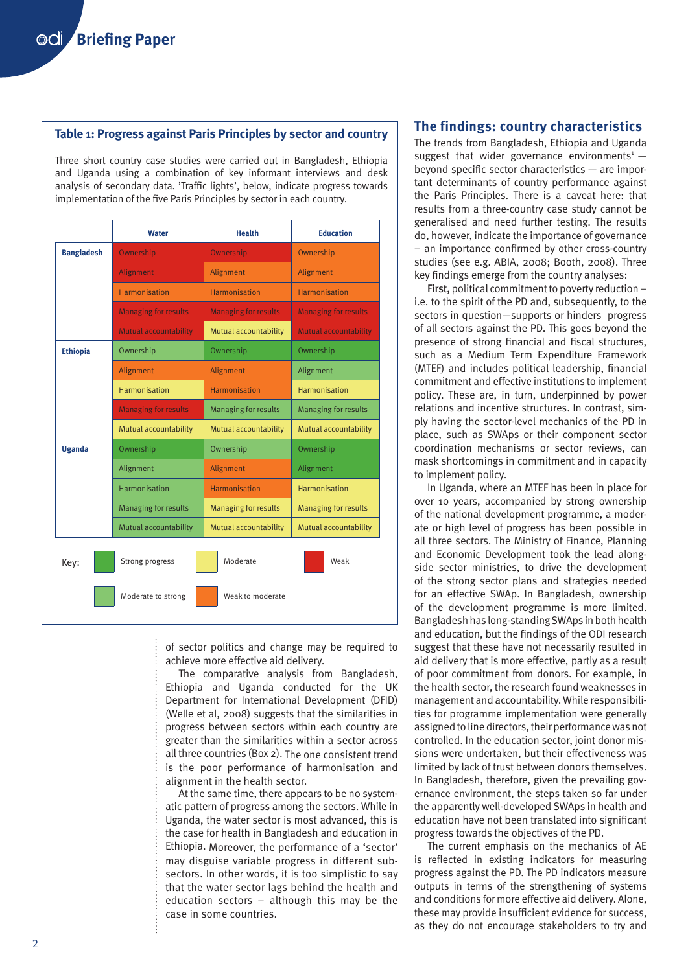#### **Table 1: Progress against Paris Principles by sector and country**

Three short country case studies were carried out in Bangladesh, Ethiopia and Uganda using a combination of key informant interviews and desk analysis of secondary data. 'Traffic lights', below, indicate progress towards implementation of the five Paris Principles by sector in each country.

|                   | Water                       | <b>Health</b>               | <b>Education</b>             |
|-------------------|-----------------------------|-----------------------------|------------------------------|
| <b>Bangladesh</b> | Ownership                   | Ownership                   | Ownership                    |
|                   | Alignment                   | Alignment                   | Alignment                    |
|                   | Harmonisation               | Harmonisation               | Harmonisation                |
|                   | <b>Managing for results</b> | <b>Managing for results</b> | <b>Managing for results</b>  |
|                   | Mutual accountability       | Mutual accountability       | <b>Mutual accountability</b> |
| <b>Ethiopia</b>   | Ownership                   | Ownership                   | Ownership                    |
|                   | Alignment                   | Alignment                   | Alignment                    |
|                   | Harmonisation               | Harmonisation               | Harmonisation                |
|                   | <b>Managing for results</b> | <b>Managing for results</b> | <b>Managing for results</b>  |
|                   | Mutual accountability       | Mutual accountability       | Mutual accountability        |
| <b>Uganda</b>     | Ownership                   | Ownership                   | Ownership                    |
|                   | Alignment                   | Alignment                   | Alignment                    |
|                   | Harmonisation               | Harmonisation               | Harmonisation                |
|                   | <b>Managing for results</b> | <b>Managing for results</b> | <b>Managing for results</b>  |
|                   | Mutual accountability       | Mutual accountability       | Mutual accountability        |
| Key:              | Strong progress             | Moderate                    | Weak                         |
|                   | Moderate to strong          | Weak to moderate            |                              |

of sector politics and change may be required to achieve more effective aid delivery.

The comparative analysis from Bangladesh, Ethiopia and Uganda conducted for the UK Department for International Development (DFID) (Welle et al, 2008) suggests that the similarities in progress between sectors within each country are greater than the similarities within a sector across all three countries (Box 2). The one consistent trend is the poor performance of harmonisation and alignment in the health sector.

At the same time, there appears to be no systematic pattern of progress among the sectors. While in Uganda, the water sector is most advanced, this is the case for health in Bangladesh and education in Ethiopia. Moreover, the performance of a 'sector' may disguise variable progress in different subsectors. In other words, it is too simplistic to say that the water sector lags behind the health and education sectors – although this may be the case in some countries.

#### **The findings: country characteristics**

The trends from Bangladesh, Ethiopia and Uganda suggest that wider governance environments<sup>1</sup>  $$ beyond specific sector characteristics — are important determinants of country performance against the Paris Principles. There is a caveat here: that results from a three-country case study cannot be generalised and need further testing. The results do, however, indicate the importance of governance – an importance confirmed by other cross-country studies (see e.g. ABIA, 2008; Booth, 2008). Three key findings emerge from the country analyses:

First, political commitment to poverty reduction – i.e. to the spirit of the PD and, subsequently, to the sectors in question—supports or hinders progress of all sectors against the PD. This goes beyond the presence of strong financial and fiscal structures, such as a Medium Term Expenditure Framework (MTEF) and includes political leadership, financial commitment and effective institutions to implement policy. These are, in turn, underpinned by power relations and incentive structures. In contrast, simply having the sector-level mechanics of the PD in place, such as SWAps or their component sector coordination mechanisms or sector reviews, can mask shortcomings in commitment and in capacity to implement policy.

In Uganda, where an MTEF has been in place for over 10 years, accompanied by strong ownership of the national development programme, a moderate or high level of progress has been possible in all three sectors. The Ministry of Finance, Planning and Economic Development took the lead alongside sector ministries, to drive the development of the strong sector plans and strategies needed for an effective SWAp. In Bangladesh, ownership of the development programme is more limited. Bangladesh has long-standing SWAps in both health and education, but the findings of the ODI research suggest that these have not necessarily resulted in aid delivery that is more effective, partly as a result of poor commitment from donors. For example, in the health sector, the research found weaknesses in management and accountability. While responsibilities for programme implementation were generally assigned to line directors, their performance was not controlled. In the education sector, joint donor missions were undertaken, but their effectiveness was limited by lack of trust between donors themselves. In Bangladesh, therefore, given the prevailing governance environment, the steps taken so far under the apparently well-developed SWAps in health and education have not been translated into significant progress towards the objectives of the PD.

The current emphasis on the mechanics of AE is reflected in existing indicators for measuring progress against the PD. The PD indicators measure outputs in terms of the strengthening of systems and conditions for more effective aid delivery. Alone, these may provide insufficient evidence for success, as they do not encourage stakeholders to try and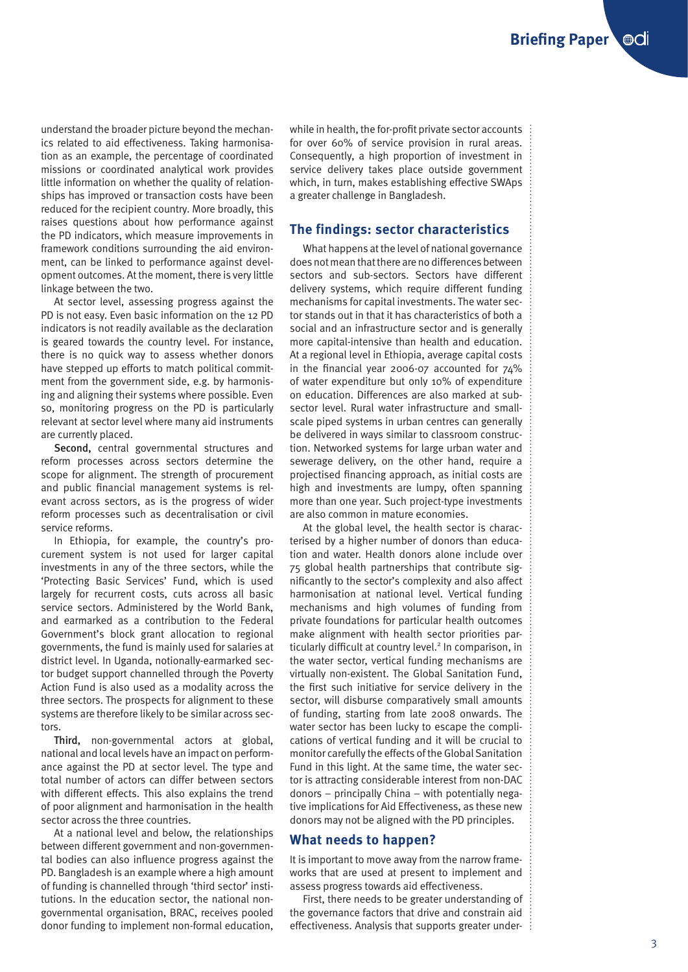understand the broader picture beyond the mechanics related to aid effectiveness. Taking harmonisation as an example, the percentage of coordinated missions or coordinated analytical work provides little information on whether the quality of relationships has improved or transaction costs have been reduced for the recipient country. More broadly, this raises questions about how performance against the PD indicators, which measure improvements in framework conditions surrounding the aid environment, can be linked to performance against development outcomes. At the moment, there is very little linkage between the two.

At sector level, assessing progress against the PD is not easy. Even basic information on the 12 PD indicators is not readily available as the declaration is geared towards the country level. For instance, there is no quick way to assess whether donors have stepped up efforts to match political commitment from the government side, e.g. by harmonising and aligning their systems where possible. Even so, monitoring progress on the PD is particularly relevant at sector level where many aid instruments are currently placed.

Second, central governmental structures and reform processes across sectors determine the scope for alignment. The strength of procurement and public financial management systems is relevant across sectors, as is the progress of wider reform processes such as decentralisation or civil service reforms.

In Ethiopia, for example, the country's procurement system is not used for larger capital investments in any of the three sectors, while the 'Protecting Basic Services' Fund, which is used largely for recurrent costs, cuts across all basic service sectors. Administered by the World Bank, and earmarked as a contribution to the Federal Government's block grant allocation to regional governments, the fund is mainly used for salaries at district level. In Uganda, notionally-earmarked sector budget support channelled through the Poverty Action Fund is also used as a modality across the three sectors. The prospects for alignment to these systems are therefore likely to be similar across sectors.

Third, non-governmental actors at global, national and local levels have an impact on performance against the PD at sector level. The type and total number of actors can differ between sectors with different effects. This also explains the trend of poor alignment and harmonisation in the health sector across the three countries.

At a national level and below, the relationships between different government and non-governmental bodies can also influence progress against the PD. Bangladesh is an example where a high amount of funding is channelled through 'third sector' institutions. In the education sector, the national nongovernmental organisation, BRAC, receives pooled donor funding to implement non-formal education, while in health, the for-profit private sector accounts for over 60% of service provision in rural areas. Consequently, a high proportion of investment in service delivery takes place outside government which, in turn, makes establishing effective SWAps a greater challenge in Bangladesh.

#### **The findings: sector characteristics**

What happens at the level of national governance does not mean that there are no differences between sectors and sub-sectors. Sectors have different delivery systems, which require different funding mechanisms for capital investments. The water sector stands out in that it has characteristics of both a social and an infrastructure sector and is generally more capital-intensive than health and education. At a regional level in Ethiopia, average capital costs in the financial year 2006-07 accounted for 74% of water expenditure but only 10% of expenditure on education. Differences are also marked at subsector level. Rural water infrastructure and smallscale piped systems in urban centres can generally be delivered in ways similar to classroom construction. Networked systems for large urban water and sewerage delivery, on the other hand, require a projectised financing approach, as initial costs are high and investments are lumpy, often spanning more than one year. Such project-type investments are also common in mature economies.

At the global level, the health sector is characterised by a higher number of donors than education and water. Health donors alone include over 75 global health partnerships that contribute significantly to the sector's complexity and also affect harmonisation at national level. Vertical funding mechanisms and high volumes of funding from private foundations for particular health outcomes make alignment with health sector priorities particularly difficult at country level.<sup>2</sup> In comparison, in the water sector, vertical funding mechanisms are virtually non-existent. The Global Sanitation Fund, the first such initiative for service delivery in the sector, will disburse comparatively small amounts of funding, starting from late 2008 onwards. The water sector has been lucky to escape the complications of vertical funding and it will be crucial to monitor carefully the effects of the Global Sanitation Fund in this light. At the same time, the water sector is attracting considerable interest from non-DAC donors – principally China – with potentially negative implications for Aid Effectiveness, as these new donors may not be aligned with the PD principles.

#### **What needs to happen?**

It is important to move away from the narrow frameworks that are used at present to implement and assess progress towards aid effectiveness.

First, there needs to be greater understanding of the governance factors that drive and constrain aid effectiveness. Analysis that supports greater under- $\vdots$